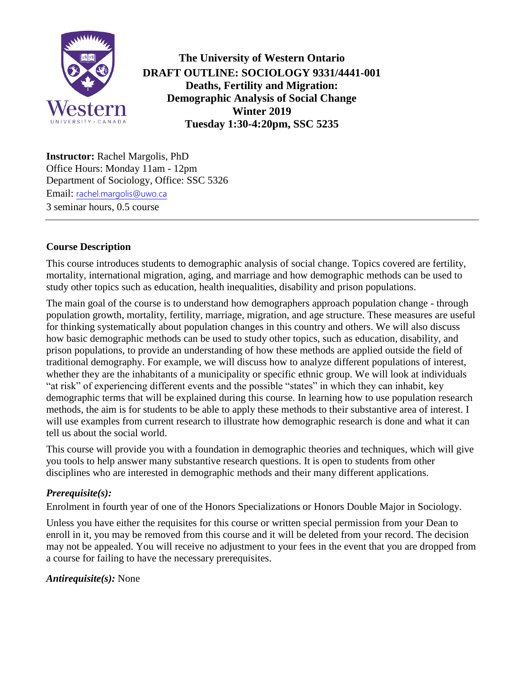

**The University of Western Ontario DRAFT OUTLINE: SOCIOLOGY 9331/4441-001 Deaths, Fertility and Migration: Demographic Analysis of Social Change Winter 2019 Tuesday 1:30-4:20pm, SSC 5235**

**Instructor:** Rachel Margolis, PhD Office Hours: Monday 11am - 12pm Department of Sociology, Office: SSC 5326 Email: [rachel.margolis@uwo.ca](mailto:rachel.margolis@uwo.ca) 3 seminar hours, 0.5 course

# **Course Description**

This course introduces students to demographic analysis of social change. Topics covered are fertility, mortality, international migration, aging, and marriage and how demographic methods can be used to study other topics such as education, health inequalities, disability and prison populations.

The main goal of the course is to understand how demographers approach population change - through population growth, mortality, fertility, marriage, migration, and age structure. These measures are useful for thinking systematically about population changes in this country and others. We will also discuss how basic demographic methods can be used to study other topics, such as education, disability, and prison populations, to provide an understanding of how these methods are applied outside the field of traditional demography. For example, we will discuss how to analyze different populations of interest, whether they are the inhabitants of a municipality or specific ethnic group. We will look at individuals "at risk" of experiencing different events and the possible "states" in which they can inhabit, key demographic terms that will be explained during this course. In learning how to use population research methods, the aim is for students to be able to apply these methods to their substantive area of interest. I will use examples from current research to illustrate how demographic research is done and what it can tell us about the social world.

This course will provide you with a foundation in demographic theories and techniques, which will give you tools to help answer many substantive research questions. It is open to students from other disciplines who are interested in demographic methods and their many different applications.

# *Prerequisite(s):*

Enrolment in fourth year of one of the Honors Specializations or Honors Double Major in Sociology.

Unless you have either the requisites for this course or written special permission from your Dean to enroll in it, you may be removed from this course and it will be deleted from your record. The decision may not be appealed. You will receive no adjustment to your fees in the event that you are dropped from a course for failing to have the necessary prerequisites.

### *Antirequisite(s):* None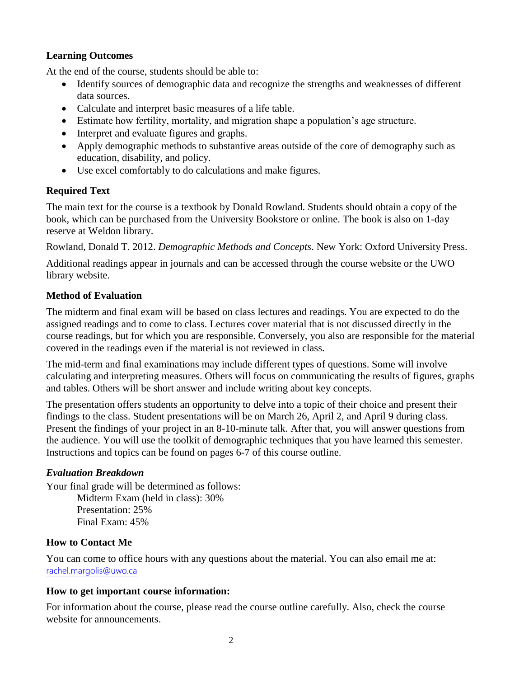### **Learning Outcomes**

At the end of the course, students should be able to:

- Identify sources of demographic data and recognize the strengths and weaknesses of different data sources.
- Calculate and interpret basic measures of a life table.
- Estimate how fertility, mortality, and migration shape a population's age structure.
- Interpret and evaluate figures and graphs.
- Apply demographic methods to substantive areas outside of the core of demography such as education, disability, and policy.
- Use excel comfortably to do calculations and make figures.

### **Required Text**

The main text for the course is a textbook by Donald Rowland. Students should obtain a copy of the book, which can be purchased from the University Bookstore or online. The book is also on 1-day reserve at Weldon library.

Rowland, Donald T. 2012. *Demographic Methods and Concepts*. New York: Oxford University Press.

Additional readings appear in journals and can be accessed through the course website or the UWO library website.

#### **Method of Evaluation**

The midterm and final exam will be based on class lectures and readings. You are expected to do the assigned readings and to come to class. Lectures cover material that is not discussed directly in the course readings, but for which you are responsible. Conversely, you also are responsible for the material covered in the readings even if the material is not reviewed in class.

The mid-term and final examinations may include different types of questions. Some will involve calculating and interpreting measures. Others will focus on communicating the results of figures, graphs and tables. Others will be short answer and include writing about key concepts.

The presentation offers students an opportunity to delve into a topic of their choice and present their findings to the class. Student presentations will be on March 26, April 2, and April 9 during class. Present the findings of your project in an 8-10-minute talk. After that, you will answer questions from the audience. You will use the toolkit of demographic techniques that you have learned this semester. Instructions and topics can be found on pages 6-7 of this course outline.

#### *Evaluation Breakdown*

Your final grade will be determined as follows: Midterm Exam (held in class): 30% Presentation: 25% Final Exam: 45%

#### **How to Contact Me**

You can come to office hours with any questions about the material. You can also email me at: [rachel.margolis@uwo.ca](mailto:rachel.margolis@uwo.ca)

#### **How to get important course information:**

For information about the course, please read the course outline carefully. Also, check the course website for announcements.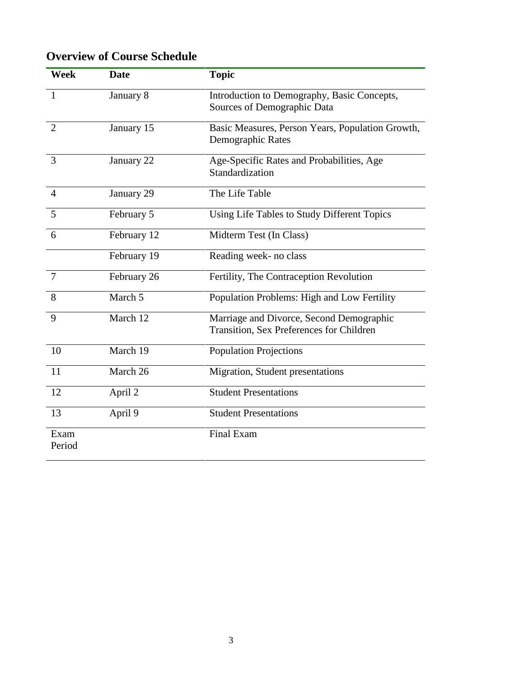| <b>Overview of Course Schedule</b> |  |  |
|------------------------------------|--|--|
|------------------------------------|--|--|

| Week           | Date        | <b>Topic</b>                                     |
|----------------|-------------|--------------------------------------------------|
| 1              | January 8   | Introduction to Demography, Basic Concepts,      |
|                |             | Sources of Demographic Data                      |
| $\overline{2}$ | January 15  | Basic Measures, Person Years, Population Growth, |
|                |             | Demographic Rates                                |
| 3              | January 22  | Age-Specific Rates and Probabilities, Age        |
|                |             | Standardization                                  |
| $\overline{4}$ | January 29  | The Life Table                                   |
| 5              | February 5  | Using Life Tables to Study Different Topics      |
| 6              | February 12 | Midterm Test (In Class)                          |
|                | February 19 | Reading week- no class                           |
| $\overline{7}$ | February 26 | Fertility, The Contraception Revolution          |
| 8              | March 5     | Population Problems: High and Low Fertility      |
| 9              | March 12    | Marriage and Divorce, Second Demographic         |
|                |             | Transition, Sex Preferences for Children         |
| 10             | March 19    | <b>Population Projections</b>                    |
| 11             | March 26    | Migration, Student presentations                 |
| 12             | April 2     | <b>Student Presentations</b>                     |
| 13             | April 9     | <b>Student Presentations</b>                     |
| Exam           |             | Final Exam                                       |
| Period         |             |                                                  |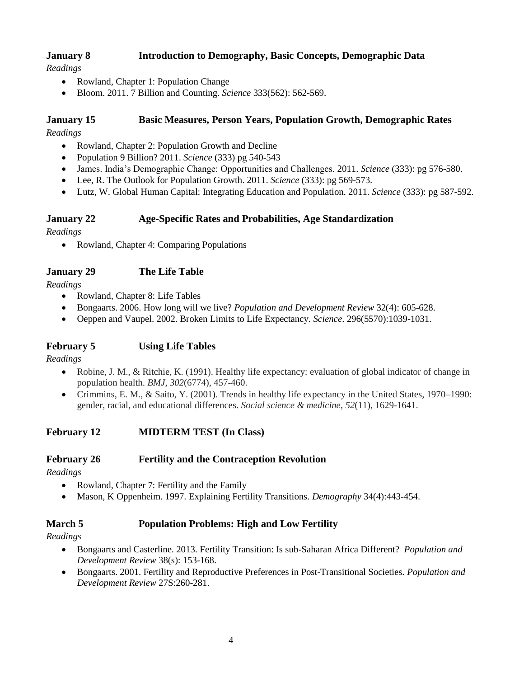# **January 8 Introduction to Demography, Basic Concepts, Demographic Data**

*Readings*

- Rowland, Chapter 1: Population Change
- Bloom. 2011. 7 Billion and Counting. *Science* 333(562): 562-569.

#### **January 15 Basic Measures, Person Years, Population Growth, Demographic Rates**

#### *Readings*

- Rowland, Chapter 2: Population Growth and Decline
- Population 9 Billion? 2011. *Science* (333) pg 540-543
- James. India's Demographic Change: Opportunities and Challenges. 2011. *Science* (333): pg 576-580.
- Lee, R. The Outlook for Population Growth. 2011. *Science* (333): pg 569-573.
- Lutz, W. Global Human Capital: Integrating Education and Population. 2011. *Science* (333): pg 587-592.

#### **January 22 Age-Specific Rates and Probabilities, Age Standardization**

*Readings*

• Rowland, Chapter 4: Comparing Populations

### **January 29 The Life Table**

*Readings*

- Rowland, Chapter 8: Life Tables
- Bongaarts. 2006. How long will we live? *Population and Development Review* 32(4): 605-628.
- Oeppen and Vaupel. 2002. Broken Limits to Life Expectancy. *Science*. 296(5570):1039-1031.

### **February 5 Using Life Tables**

*Readings*

- Robine, J. M., & Ritchie, K. (1991). Healthy life expectancy: evaluation of global indicator of change in population health. *BMJ*, *302*(6774), 457-460.
- Crimmins, E. M., & Saito, Y. (2001). Trends in healthy life expectancy in the United States, 1970–1990: gender, racial, and educational differences. *Social science & medicine*, *52*(11), 1629-1641.

### **February 12 MIDTERM TEST (In Class)**

#### **February 26 Fertility and the Contraception Revolution**

*Readings*

- Rowland, Chapter 7: Fertility and the Family
- Mason, K Oppenheim. 1997. Explaining Fertility Transitions. *Demography* 34(4):443-454.

### **March 5 Population Problems: High and Low Fertility**

*Readings*

- Bongaarts and Casterline. 2013. Fertility Transition: Is sub-Saharan Africa Different? *Population and Development Review* 38(s): 153-168.
- Bongaarts. 2001. Fertility and Reproductive Preferences in Post-Transitional Societies. *Population and Development Review* 27S:260-281.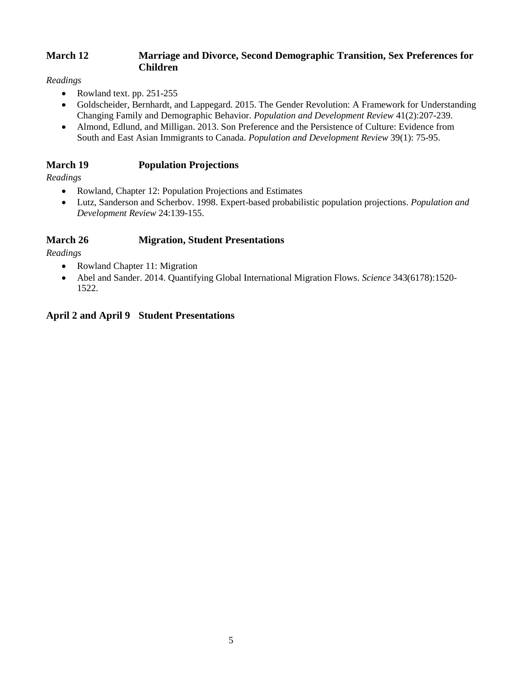#### **March 12 Marriage and Divorce, Second Demographic Transition, Sex Preferences for Children**

#### *Readings*

- Rowland text. pp. 251-255
- Goldscheider, Bernhardt, and Lappegard. 2015. The Gender Revolution: A Framework for Understanding Changing Family and Demographic Behavior. *Population and Development Review* 41(2):207-239.
- Almond, Edlund, and Milligan. 2013. Son Preference and the Persistence of Culture: Evidence from South and East Asian Immigrants to Canada. *Population and Development Review* 39(1): 75-95.

### **March 19 Population Projections**

#### *Readings*

- Rowland, Chapter 12: Population Projections and Estimates
- Lutz, Sanderson and Scherbov. 1998. Expert-based probabilistic population projections. *Population and Development Review* 24:139-155.

### **March 26 Migration, Student Presentations**

*Readings*

- Rowland Chapter 11: Migration
- Abel and Sander. 2014. Quantifying Global International Migration Flows. *Science* 343(6178):1520- 1522.

### **April 2 and April 9 Student Presentations**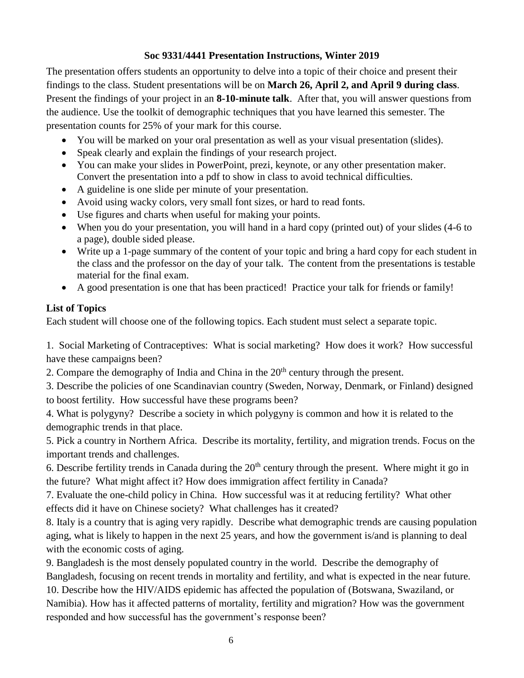### **Soc 9331/4441 Presentation Instructions, Winter 2019**

The presentation offers students an opportunity to delve into a topic of their choice and present their findings to the class. Student presentations will be on **March 26, April 2, and April 9 during class**. Present the findings of your project in an **8-10-minute talk**. After that, you will answer questions from the audience. Use the toolkit of demographic techniques that you have learned this semester. The presentation counts for 25% of your mark for this course.

- You will be marked on your oral presentation as well as your visual presentation (slides).
- Speak clearly and explain the findings of your research project.
- You can make your slides in PowerPoint, prezi, keynote, or any other presentation maker. Convert the presentation into a pdf to show in class to avoid technical difficulties.
- A guideline is one slide per minute of your presentation.
- Avoid using wacky colors, very small font sizes, or hard to read fonts.
- Use figures and charts when useful for making your points.
- When you do your presentation, you will hand in a hard copy (printed out) of your slides (4-6 to a page), double sided please.
- Write up a 1-page summary of the content of your topic and bring a hard copy for each student in the class and the professor on the day of your talk. The content from the presentations is testable material for the final exam.
- A good presentation is one that has been practiced! Practice your talk for friends or family!

# **List of Topics**

Each student will choose one of the following topics. Each student must select a separate topic.

1. Social Marketing of Contraceptives: What is social marketing? How does it work? How successful have these campaigns been?

2. Compare the demography of India and China in the  $20<sup>th</sup>$  century through the present.

3. Describe the policies of one Scandinavian country (Sweden, Norway, Denmark, or Finland) designed to boost fertility. How successful have these programs been?

4. What is polygyny? Describe a society in which polygyny is common and how it is related to the demographic trends in that place.

5. Pick a country in Northern Africa. Describe its mortality, fertility, and migration trends. Focus on the important trends and challenges.

6. Describe fertility trends in Canada during the  $20<sup>th</sup>$  century through the present. Where might it go in the future? What might affect it? How does immigration affect fertility in Canada?

7. Evaluate the one-child policy in China. How successful was it at reducing fertility? What other effects did it have on Chinese society? What challenges has it created?

8. Italy is a country that is aging very rapidly. Describe what demographic trends are causing population aging, what is likely to happen in the next 25 years, and how the government is/and is planning to deal with the economic costs of aging.

9. Bangladesh is the most densely populated country in the world. Describe the demography of Bangladesh, focusing on recent trends in mortality and fertility, and what is expected in the near future. 10. Describe how the HIV/AIDS epidemic has affected the population of (Botswana, Swaziland, or Namibia). How has it affected patterns of mortality, fertility and migration? How was the government responded and how successful has the government's response been?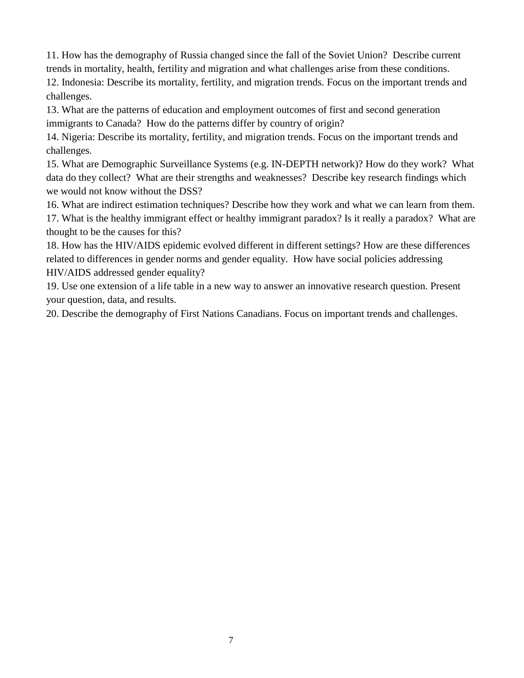11. How has the demography of Russia changed since the fall of the Soviet Union? Describe current trends in mortality, health, fertility and migration and what challenges arise from these conditions. 12. Indonesia: Describe its mortality, fertility, and migration trends. Focus on the important trends and

challenges.

13. What are the patterns of education and employment outcomes of first and second generation immigrants to Canada? How do the patterns differ by country of origin?

14. Nigeria: Describe its mortality, fertility, and migration trends. Focus on the important trends and challenges.

15. What are Demographic Surveillance Systems (e.g. IN-DEPTH network)? How do they work? What data do they collect? What are their strengths and weaknesses? Describe key research findings which we would not know without the DSS?

16. What are indirect estimation techniques? Describe how they work and what we can learn from them.

17. What is the healthy immigrant effect or healthy immigrant paradox? Is it really a paradox? What are thought to be the causes for this?

18. How has the HIV/AIDS epidemic evolved different in different settings? How are these differences related to differences in gender norms and gender equality. How have social policies addressing HIV/AIDS addressed gender equality?

19. Use one extension of a life table in a new way to answer an innovative research question. Present your question, data, and results.

20. Describe the demography of First Nations Canadians. Focus on important trends and challenges.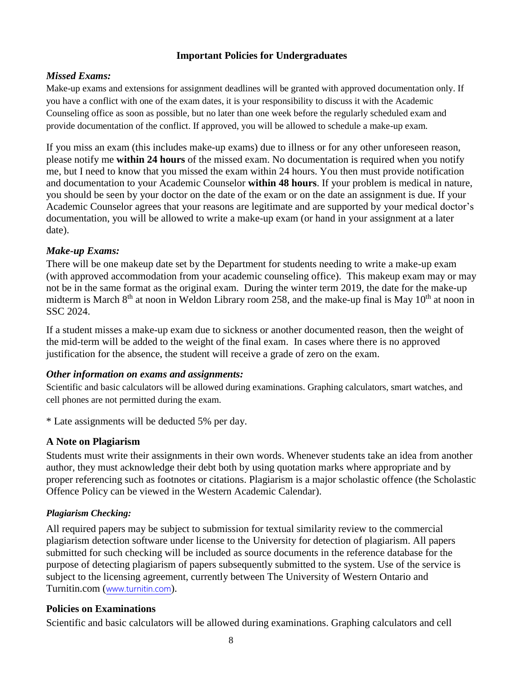#### **Important Policies for Undergraduates**

### *Missed Exams:*

Make-up exams and extensions for assignment deadlines will be granted with approved documentation only. If you have a conflict with one of the exam dates, it is your responsibility to discuss it with the Academic Counseling office as soon as possible, but no later than one week before the regularly scheduled exam and provide documentation of the conflict. If approved, you will be allowed to schedule a make-up exam.

If you miss an exam (this includes make-up exams) due to illness or for any other unforeseen reason, please notify me **within 24 hours** of the missed exam. No documentation is required when you notify me, but I need to know that you missed the exam within 24 hours. You then must provide notification and documentation to your Academic Counselor **within 48 hours**. If your problem is medical in nature, you should be seen by your doctor on the date of the exam or on the date an assignment is due. If your Academic Counselor agrees that your reasons are legitimate and are supported by your medical doctor's documentation, you will be allowed to write a make-up exam (or hand in your assignment at a later date).

#### *Make-up Exams:*

There will be one makeup date set by the Department for students needing to write a make-up exam (with approved accommodation from your academic counseling office). This makeup exam may or may not be in the same format as the original exam. During the winter term 2019, the date for the make-up midterm is March  $8<sup>th</sup>$  at noon in Weldon Library room 258, and the make-up final is May  $10<sup>th</sup>$  at noon in SSC 2024.

If a student misses a make-up exam due to sickness or another documented reason, then the weight of the mid-term will be added to the weight of the final exam. In cases where there is no approved justification for the absence, the student will receive a grade of zero on the exam.

#### *Other information on exams and assignments:*

Scientific and basic calculators will be allowed during examinations. Graphing calculators, smart watches, and cell phones are not permitted during the exam.

\* Late assignments will be deducted 5% per day.

### **A Note on Plagiarism**

Students must write their assignments in their own words. Whenever students take an idea from another author, they must acknowledge their debt both by using quotation marks where appropriate and by proper referencing such as footnotes or citations. Plagiarism is a major scholastic offence (the Scholastic Offence Policy can be viewed in the Western Academic Calendar).

#### *Plagiarism Checking:*

All required papers may be subject to submission for textual similarity review to the commercial plagiarism detection software under license to the University for detection of plagiarism. All papers submitted for such checking will be included as source documents in the reference database for the purpose of detecting plagiarism of papers subsequently submitted to the system. Use of the service is subject to the licensing agreement, currently between The University of Western Ontario and Turnitin.com ([www.turnitin.com](http://www.turnitin.com/)).

### **Policies on Examinations**

Scientific and basic calculators will be allowed during examinations. Graphing calculators and cell